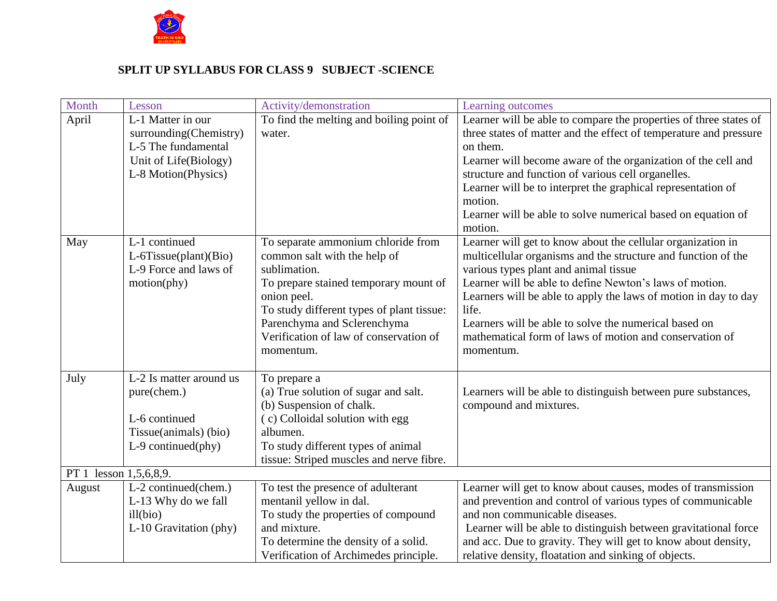

#### **SPLIT UP SYLLABUS FOR CLASS 9 SUBJECT -SCIENCE**

| Month                  | Lesson                                                                                                             | Activity/demonstration                                                                                                                                                                                                                                                        | Learning outcomes                                                                                                                                                                                                                                                                                                                                                                                                                             |
|------------------------|--------------------------------------------------------------------------------------------------------------------|-------------------------------------------------------------------------------------------------------------------------------------------------------------------------------------------------------------------------------------------------------------------------------|-----------------------------------------------------------------------------------------------------------------------------------------------------------------------------------------------------------------------------------------------------------------------------------------------------------------------------------------------------------------------------------------------------------------------------------------------|
| April                  | L-1 Matter in our<br>surrounding(Chemistry)<br>L-5 The fundamental<br>Unit of Life(Biology)<br>L-8 Motion(Physics) | To find the melting and boiling point of<br>water.                                                                                                                                                                                                                            | Learner will be able to compare the properties of three states of<br>three states of matter and the effect of temperature and pressure<br>on them.<br>Learner will become aware of the organization of the cell and<br>structure and function of various cell organelles.<br>Learner will be to interpret the graphical representation of<br>motion.<br>Learner will be able to solve numerical based on equation of<br>motion.               |
| May                    | L-1 continued<br>L-6Tissue(plant)(Bio)<br>L-9 Force and laws of<br>motion(phy)                                     | To separate ammonium chloride from<br>common salt with the help of<br>sublimation.<br>To prepare stained temporary mount of<br>onion peel.<br>To study different types of plant tissue:<br>Parenchyma and Sclerenchyma<br>Verification of law of conservation of<br>momentum. | Learner will get to know about the cellular organization in<br>multicellular organisms and the structure and function of the<br>various types plant and animal tissue<br>Learner will be able to define Newton's laws of motion.<br>Learners will be able to apply the laws of motion in day to day<br>life.<br>Learners will be able to solve the numerical based on<br>mathematical form of laws of motion and conservation of<br>momentum. |
| July                   | L-2 Is matter around us<br>pure(chem.)<br>L-6 continued<br>Tissue(animals) (bio)<br>$L-9$ continued(phy)           | To prepare a<br>(a) True solution of sugar and salt.<br>(b) Suspension of chalk.<br>(c) Colloidal solution with egg<br>albumen.<br>To study different types of animal<br>tissue: Striped muscles and nerve fibre.                                                             | Learners will be able to distinguish between pure substances,<br>compound and mixtures.                                                                                                                                                                                                                                                                                                                                                       |
| PT 1 lesson 1,5,6,8,9. |                                                                                                                    |                                                                                                                                                                                                                                                                               |                                                                                                                                                                                                                                                                                                                                                                                                                                               |
| August                 | L-2 continued(chem.)<br>L-13 Why do we fall<br>ill(bio)<br>L-10 Gravitation (phy)                                  | To test the presence of adulterant<br>mentanil yellow in dal.<br>To study the properties of compound<br>and mixture.<br>To determine the density of a solid.<br>Verification of Archimedes principle.                                                                         | Learner will get to know about causes, modes of transmission<br>and prevention and control of various types of communicable<br>and non communicable diseases.<br>Learner will be able to distinguish between gravitational force<br>and acc. Due to gravity. They will get to know about density,<br>relative density, floatation and sinking of objects.                                                                                     |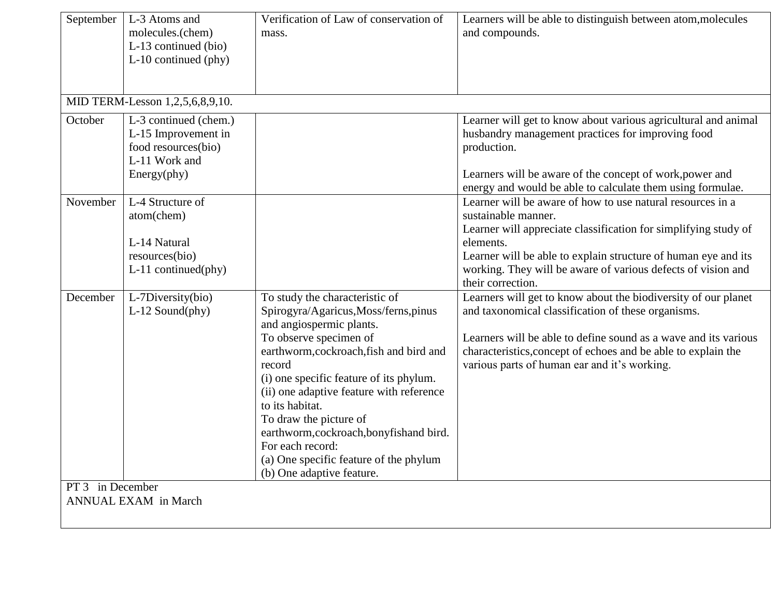| September                    | L-3 Atoms and<br>molecules.(chem)<br>L-13 continued (bio)<br>$L-10$ continued (phy)                     | Verification of Law of conservation of<br>mass.                                                                                                                                                                                                                                                                                                                                                                                                              | Learners will be able to distinguish between atom, molecules<br>and compounds.                                                                                                                                                                                                                                           |
|------------------------------|---------------------------------------------------------------------------------------------------------|--------------------------------------------------------------------------------------------------------------------------------------------------------------------------------------------------------------------------------------------------------------------------------------------------------------------------------------------------------------------------------------------------------------------------------------------------------------|--------------------------------------------------------------------------------------------------------------------------------------------------------------------------------------------------------------------------------------------------------------------------------------------------------------------------|
|                              | MID TERM-Lesson 1,2,5,6,8,9,10.                                                                         |                                                                                                                                                                                                                                                                                                                                                                                                                                                              |                                                                                                                                                                                                                                                                                                                          |
| October                      | L-3 continued (chem.)<br>L-15 Improvement in<br>food resources(bio)<br>L-11 Work and<br>Energy(phy)     |                                                                                                                                                                                                                                                                                                                                                                                                                                                              | Learner will get to know about various agricultural and animal<br>husbandry management practices for improving food<br>production.<br>Learners will be aware of the concept of work, power and<br>energy and would be able to calculate them using formulae.                                                             |
| November                     | $\overline{L}$ -4 Structure of<br>atom(chem)<br>L-14 Natural<br>resources(bio)<br>$L-11$ continued(phy) |                                                                                                                                                                                                                                                                                                                                                                                                                                                              | Learner will be aware of how to use natural resources in a<br>sustainable manner.<br>Learner will appreciate classification for simplifying study of<br>elements.<br>Learner will be able to explain structure of human eye and its<br>working. They will be aware of various defects of vision and<br>their correction. |
| December<br>PT 3 in December | L-7Diversity(bio)<br>$L-12$ Sound(phy)                                                                  | To study the characteristic of<br>Spirogyra/Agaricus, Moss/ferns, pinus<br>and angiospermic plants.<br>To observe specimen of<br>earthworm, cockroach, fish and bird and<br>record<br>(i) one specific feature of its phylum.<br>(ii) one adaptive feature with reference<br>to its habitat.<br>To draw the picture of<br>earthworm, cockroach, bonyfishand bird.<br>For each record:<br>(a) One specific feature of the phylum<br>(b) One adaptive feature. | Learners will get to know about the biodiversity of our planet<br>and taxonomical classification of these organisms.<br>Learners will be able to define sound as a wave and its various<br>characteristics, concept of echoes and be able to explain the<br>various parts of human ear and it's working.                 |
|                              | <b>ANNUAL EXAM</b> in March                                                                             |                                                                                                                                                                                                                                                                                                                                                                                                                                                              |                                                                                                                                                                                                                                                                                                                          |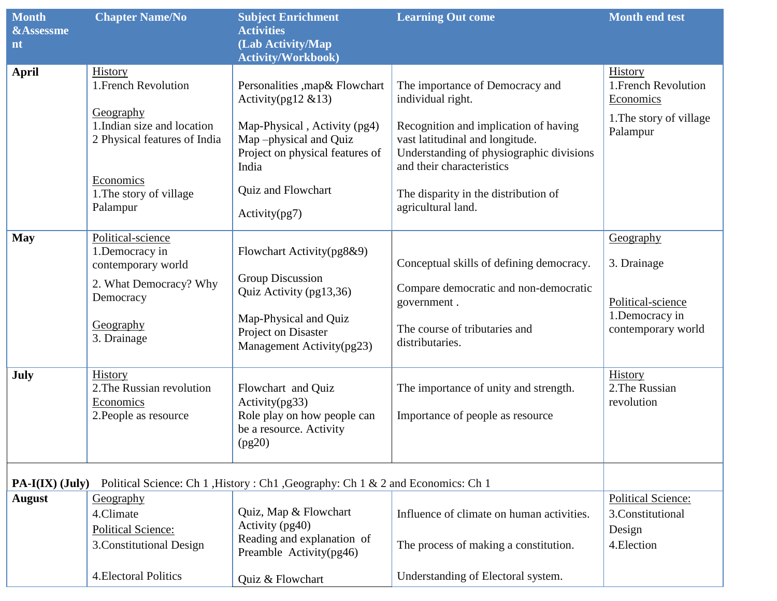| <b>Month</b>         | <b>Chapter Name/No</b>                                                   | <b>Subject Enrichment</b>                                                                         | <b>Learning Out come</b>                                                                                                                          | <b>Month end test</b>                         |
|----------------------|--------------------------------------------------------------------------|---------------------------------------------------------------------------------------------------|---------------------------------------------------------------------------------------------------------------------------------------------------|-----------------------------------------------|
| <b>&amp;Assessme</b> |                                                                          | <b>Activities</b>                                                                                 |                                                                                                                                                   |                                               |
| nt                   |                                                                          | (Lab Activity/Map<br><b>Activity/Workbook)</b>                                                    |                                                                                                                                                   |                                               |
| <b>April</b>         | History<br>1. French Revolution                                          | Personalities , map & Flowchart                                                                   | The importance of Democracy and                                                                                                                   | History<br>1. French Revolution               |
|                      |                                                                          | Activity(pg12 $& 13$ )                                                                            | individual right.                                                                                                                                 | Economics                                     |
|                      | Geography<br>1. Indian size and location<br>2 Physical features of India | Map-Physical, Activity (pg4)<br>Map-physical and Quiz<br>Project on physical features of<br>India | Recognition and implication of having<br>vast latitudinal and longitude.<br>Understanding of physiographic divisions<br>and their characteristics | 1. The story of village<br>Palampur           |
|                      | Economics<br>1. The story of village<br>Palampur                         | Quiz and Flowchart<br>Activity(pg7)                                                               | The disparity in the distribution of<br>agricultural land.                                                                                        |                                               |
| <b>May</b>           | Political-science                                                        |                                                                                                   |                                                                                                                                                   | Geography                                     |
|                      | 1.Democracy in<br>contemporary world                                     | Flowchart Activity(pg8&9)                                                                         | Conceptual skills of defining democracy.                                                                                                          | 3. Drainage                                   |
|                      | 2. What Democracy? Why<br>Democracy                                      | <b>Group Discussion</b><br>Quiz Activity (pg13,36)                                                | Compare democratic and non-democratic<br>government.                                                                                              | Political-science                             |
|                      | Geography<br>3. Drainage                                                 | Map-Physical and Quiz<br>Project on Disaster<br>Management Activity(pg23)                         | The course of tributaries and<br>distributaries.                                                                                                  | 1.Democracy in<br>contemporary world          |
| July                 | <b>History</b><br>2. The Russian revolution<br>Economics                 | Flowchart and Quiz<br>Activity(pg33)                                                              | The importance of unity and strength.                                                                                                             | History<br>2. The Russian<br>revolution       |
|                      | 2. People as resource                                                    | Role play on how people can<br>be a resource. Activity<br>(pg20)                                  | Importance of people as resource                                                                                                                  |                                               |
| $PA-I(IX)$ (July)    |                                                                          | Political Science: Ch 1, History: Ch1, Geography: Ch 1 & 2 and Economics: Ch 1                    |                                                                                                                                                   |                                               |
| August               | Geography<br>4.Climate                                                   | Quiz, Map & Flowchart                                                                             | Influence of climate on human activities.                                                                                                         | <b>Political Science:</b><br>3.Constitutional |
|                      | <b>Political Science:</b><br>3. Constitutional Design                    | Activity (pg40)<br>Reading and explanation of<br>Preamble Activity(pg46)                          | The process of making a constitution.                                                                                                             | Design<br>4. Election                         |
|                      | <b>4. Electoral Politics</b>                                             | Quiz & Flowchart                                                                                  | Understanding of Electoral system.                                                                                                                |                                               |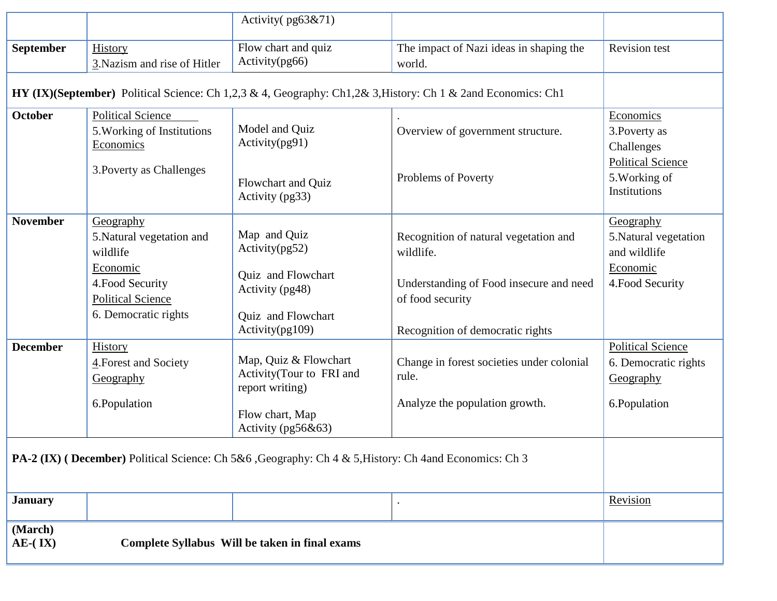|                                                                                                               |                                                                     | Activity (pg63&71)                                                   |                                                                                                              |                                                                |
|---------------------------------------------------------------------------------------------------------------|---------------------------------------------------------------------|----------------------------------------------------------------------|--------------------------------------------------------------------------------------------------------------|----------------------------------------------------------------|
| <b>September</b>                                                                                              | History<br>3. Nazism and rise of Hitler                             | Flow chart and quiz<br>Activity(pg66)                                | The impact of Nazi ideas in shaping the<br>world.                                                            | <b>Revision test</b>                                           |
|                                                                                                               |                                                                     |                                                                      | HY (IX)(September) Political Science: Ch 1,2,3 & 4, Geography: Ch1,2& 3, History: Ch 1 & 2and Economics: Ch1 |                                                                |
| <b>October</b>                                                                                                | <b>Political Science</b><br>5. Working of Institutions<br>Economics | Model and Quiz<br>Activity(pg91)                                     | Overview of government structure.                                                                            | Economics<br>3. Poverty as<br>Challenges                       |
|                                                                                                               | 3. Poverty as Challenges                                            | Flowchart and Quiz<br>Activity (pg33)                                | Problems of Poverty                                                                                          | <b>Political Science</b><br>5. Working of<br>Institutions      |
| <b>November</b>                                                                                               | Geography<br>5. Natural vegetation and<br>wildlife<br>Economic      | Map and Quiz<br>Activity(pg52)                                       | Recognition of natural vegetation and<br>wildlife.                                                           | Geography<br>5. Natural vegetation<br>and wildlife<br>Economic |
|                                                                                                               | 4. Food Security<br><b>Political Science</b>                        | Quiz and Flowchart<br>Activity (pg48)                                | Understanding of Food insecure and need<br>of food security                                                  | 4. Food Security                                               |
|                                                                                                               | 6. Democratic rights                                                | Quiz and Flowchart<br>Activity(pg109)                                | Recognition of democratic rights                                                                             |                                                                |
| <b>December</b>                                                                                               | History<br>4. Forest and Society<br>Geography                       | Map, Quiz & Flowchart<br>Activity(Tour to FRI and<br>report writing) | Change in forest societies under colonial<br>rule.                                                           | <b>Political Science</b><br>6. Democratic rights<br>Geography  |
|                                                                                                               | 6.Population                                                        | Flow chart, Map<br>Activity (pg56&63)                                | Analyze the population growth.                                                                               | 6.Population                                                   |
| <b>PA-2 (IX) (December)</b> Political Science: Ch 5&6, Geography: Ch 4 & 5, History: Ch 4 and Economics: Ch 3 |                                                                     |                                                                      |                                                                                                              |                                                                |
| <b>January</b>                                                                                                |                                                                     |                                                                      |                                                                                                              | Revision                                                       |
| (March)<br>$AE-(IX)$                                                                                          |                                                                     |                                                                      |                                                                                                              |                                                                |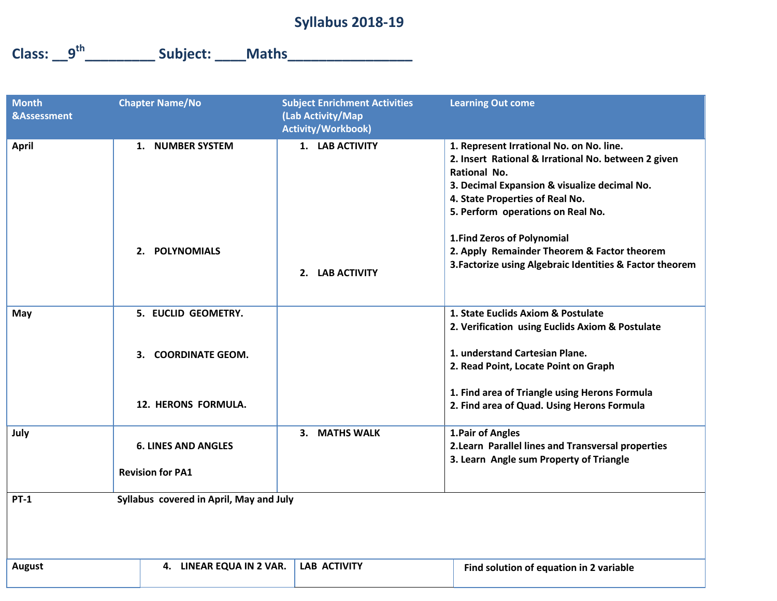### **Syllabus 2018-19**

**Class: \_\_9th\_\_\_\_\_\_\_\_\_ Subject: \_\_\_\_Maths\_\_\_\_\_\_\_\_\_\_\_\_\_\_\_\_**

| <b>Month</b><br><b>&amp;Assessment</b> | <b>Chapter Name/No</b>                                | <b>Subject Enrichment Activities</b><br>(Lab Activity/Map<br><b>Activity/Workbook)</b> | <b>Learning Out come</b>                                                                                                                                                                                                                |
|----------------------------------------|-------------------------------------------------------|----------------------------------------------------------------------------------------|-----------------------------------------------------------------------------------------------------------------------------------------------------------------------------------------------------------------------------------------|
| <b>April</b>                           | 1. NUMBER SYSTEM                                      | 1. LAB ACTIVITY                                                                        | 1. Represent Irrational No. on No. line.<br>2. Insert Rational & Irrational No. between 2 given<br>Rational No.<br>3. Decimal Expansion & visualize decimal No.<br>4. State Properties of Real No.<br>5. Perform operations on Real No. |
|                                        | 2. POLYNOMIALS                                        | 2. LAB ACTIVITY                                                                        | 1. Find Zeros of Polynomial<br>2. Apply Remainder Theorem & Factor theorem<br>3. Factorize using Algebraic Identities & Factor theorem                                                                                                  |
| May                                    | 5. EUCLID GEOMETRY.                                   |                                                                                        | 1. State Euclids Axiom & Postulate<br>2. Verification using Euclids Axiom & Postulate                                                                                                                                                   |
|                                        | 3. COORDINATE GEOM.                                   |                                                                                        | 1. understand Cartesian Plane.<br>2. Read Point, Locate Point on Graph                                                                                                                                                                  |
|                                        | 12. HERONS FORMULA.                                   |                                                                                        | 1. Find area of Triangle using Herons Formula<br>2. Find area of Quad. Using Herons Formula                                                                                                                                             |
| July                                   | <b>6. LINES AND ANGLES</b><br><b>Revision for PA1</b> | 3. MATHS WALK                                                                          | 1. Pair of Angles<br>2. Learn Parallel lines and Transversal properties<br>3. Learn Angle sum Property of Triangle                                                                                                                      |
| <b>PT-1</b>                            | Syllabus covered in April, May and July               |                                                                                        |                                                                                                                                                                                                                                         |
|                                        |                                                       |                                                                                        |                                                                                                                                                                                                                                         |
| <b>August</b>                          | 4. LINEAR EQUA IN 2 VAR.                              | <b>LAB ACTIVITY</b>                                                                    | Find solution of equation in 2 variable                                                                                                                                                                                                 |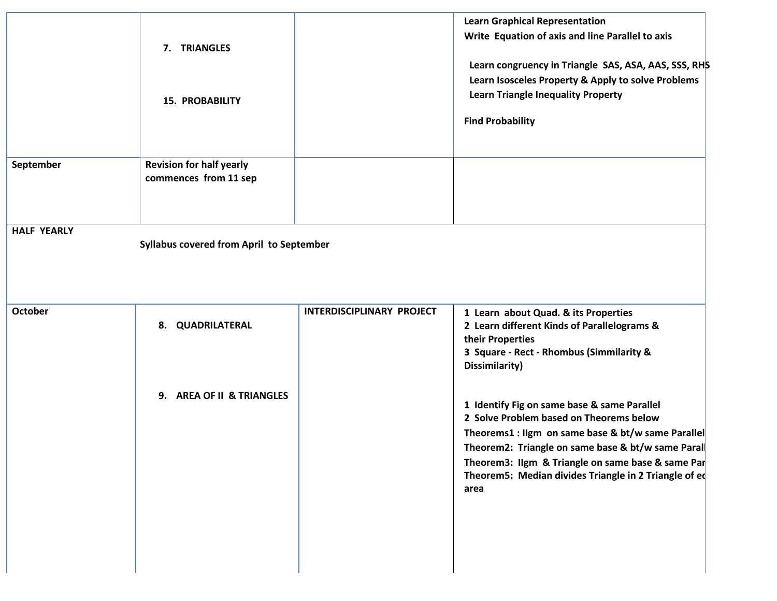|                    | 7. TRIANGLES<br><b>15. PROBABILITY</b>                   |                           | <b>Learn Graphical Representation</b><br>Write Equation of axis and line Parallel to axis<br>Learn congruency in Triangle SAS, ASA, AAS, SSS, RHS<br>Learn Isosceles Property & Apply to solve Problems<br><b>Learn Triangle Inequality Property</b><br><b>Find Probability</b>                                         |
|--------------------|----------------------------------------------------------|---------------------------|-------------------------------------------------------------------------------------------------------------------------------------------------------------------------------------------------------------------------------------------------------------------------------------------------------------------------|
| September          | <b>Revision for half yearly</b><br>commences from 11 sep |                           |                                                                                                                                                                                                                                                                                                                         |
| <b>HALF YEARLY</b> | Syllabus covered from April to September                 |                           |                                                                                                                                                                                                                                                                                                                         |
| October            | 8. QUADRILATERAL                                         | INTERDISCIPLINARY PROJECT | 1 Learn about Quad. & its Properties<br>2 Learn different Kinds of Parallelograms &<br>their Properties<br>3 Square - Rect - Rhombus (Simmilarity &<br>Dissimilarity)                                                                                                                                                   |
|                    | 9. AREA OF II & TRIANGLES                                |                           | 1 Identify Fig on same base & same Parallel<br>2 Solve Problem based on Theorems below<br>Theorems1 : Ilgm on same base & bt/w same Parallel<br>Theorem2: Triangle on same base & bt/w same Paral<br>Theorem3: Ilgm & Triangle on same base & same Par<br>Theorem5: Median divides Triangle in 2 Triangle of eq<br>area |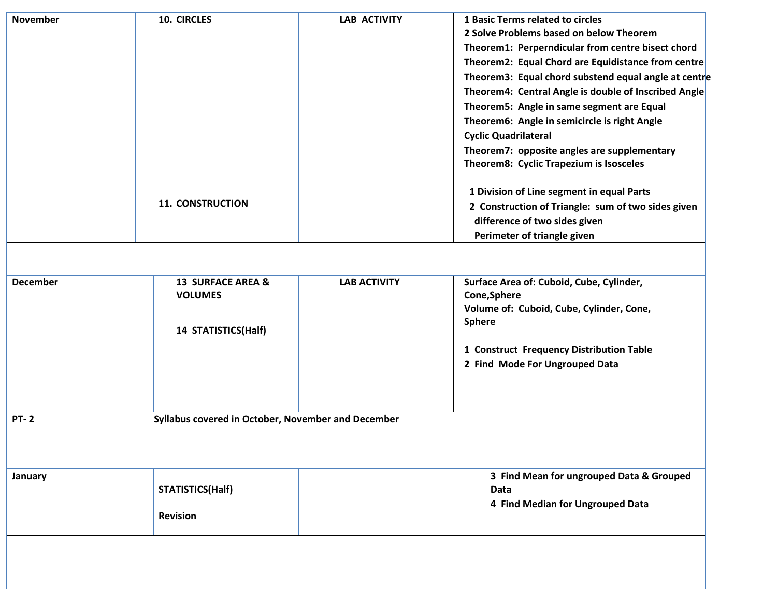| <b>November</b> | 10. CIRCLES                                                                  | <b>LAB ACTIVITY</b> | 1 Basic Terms related to circles<br>2 Solve Problems based on below Theorem<br>Theorem1: Perperndicular from centre bisect chord<br>Theorem2: Equal Chord are Equidistance from centre<br>Theorem3: Equal chord substend equal angle at centre<br>Theorem4: Central Angle is double of Inscribed Angle<br>Theorem5: Angle in same segment are Equal<br>Theorem6: Angle in semicircle is right Angle<br><b>Cyclic Quadrilateral</b><br>Theorem7: opposite angles are supplementary<br>Theorem8: Cyclic Trapezium is Isosceles |
|-----------------|------------------------------------------------------------------------------|---------------------|------------------------------------------------------------------------------------------------------------------------------------------------------------------------------------------------------------------------------------------------------------------------------------------------------------------------------------------------------------------------------------------------------------------------------------------------------------------------------------------------------------------------------|
|                 | <b>11. CONSTRUCTION</b>                                                      |                     | 1 Division of Line segment in equal Parts<br>2 Construction of Triangle: sum of two sides given<br>difference of two sides given<br>Perimeter of triangle given                                                                                                                                                                                                                                                                                                                                                              |
|                 |                                                                              |                     |                                                                                                                                                                                                                                                                                                                                                                                                                                                                                                                              |
| <b>December</b> | <b>13 SURFACE AREA &amp;</b><br><b>VOLUMES</b><br><b>14 STATISTICS(Half)</b> | <b>LAB ACTIVITY</b> | Surface Area of: Cuboid, Cube, Cylinder,<br>Cone, Sphere<br>Volume of: Cuboid, Cube, Cylinder, Cone,<br><b>Sphere</b><br>1 Construct Frequency Distribution Table<br>2 Find Mode For Ungrouped Data                                                                                                                                                                                                                                                                                                                          |
| <b>PT-2</b>     | Syllabus covered in October, November and December                           |                     |                                                                                                                                                                                                                                                                                                                                                                                                                                                                                                                              |
|                 |                                                                              |                     |                                                                                                                                                                                                                                                                                                                                                                                                                                                                                                                              |
| January         | <b>STATISTICS(Half)</b>                                                      |                     | 3 Find Mean for ungrouped Data & Grouped<br>Data<br>4 Find Median for Ungrouped Data                                                                                                                                                                                                                                                                                                                                                                                                                                         |
|                 | <b>Revision</b>                                                              |                     |                                                                                                                                                                                                                                                                                                                                                                                                                                                                                                                              |
|                 |                                                                              |                     |                                                                                                                                                                                                                                                                                                                                                                                                                                                                                                                              |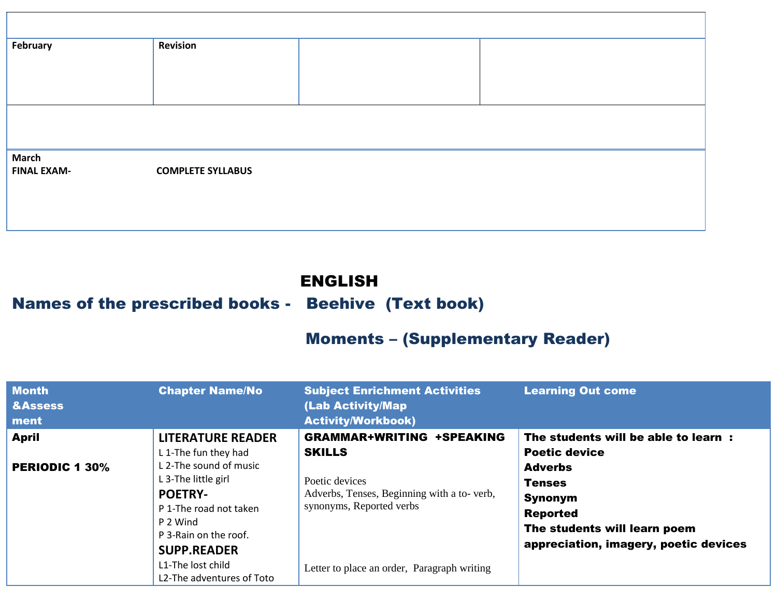| February                           | <b>Revision</b>          |  |  |
|------------------------------------|--------------------------|--|--|
|                                    |                          |  |  |
|                                    |                          |  |  |
|                                    |                          |  |  |
|                                    |                          |  |  |
| <b>March</b><br><b>FINAL EXAM-</b> | <b>COMPLETE SYLLABUS</b> |  |  |
|                                    |                          |  |  |
|                                    |                          |  |  |
|                                    |                          |  |  |

### ENGLISH

# Names of the prescribed books - Beehive (Text book)

# Moments – (Supplementary Reader)

| <b>Month</b><br><b>&amp;Assess</b><br>ment | <b>Chapter Name/No</b>                                                                                                                                                             | <b>Subject Enrichment Activities</b><br>(Lab Activity/Map<br><b>Activity/Workbook)</b>                                                        | <b>Learning Out come</b>                                                                                                                                            |
|--------------------------------------------|------------------------------------------------------------------------------------------------------------------------------------------------------------------------------------|-----------------------------------------------------------------------------------------------------------------------------------------------|---------------------------------------------------------------------------------------------------------------------------------------------------------------------|
| <b>April</b><br><b>PERIODIC 1 30%</b>      | <b>LITERATURE READER</b><br>L 1-The fun they had<br>L 2-The sound of music<br>L 3-The little girl<br><b>POETRY-</b><br>P 1-The road not taken<br>P 2 Wind<br>P 3-Rain on the roof. | <b>GRAMMAR+WRITING +SPEAKING</b><br><b>SKILLS</b><br>Poetic devices<br>Adverbs, Tenses, Beginning with a to-verb,<br>synonyms, Reported verbs | The students will be able to learn:<br><b>Poetic device</b><br><b>Adverbs</b><br><b>Tenses</b><br><b>Synonym</b><br><b>Reported</b><br>The students will learn poem |
|                                            | <b>SUPP.READER</b><br>L1-The lost child<br>L2-The adventures of Toto                                                                                                               | Letter to place an order, Paragraph writing                                                                                                   | appreciation, imagery, poetic devices                                                                                                                               |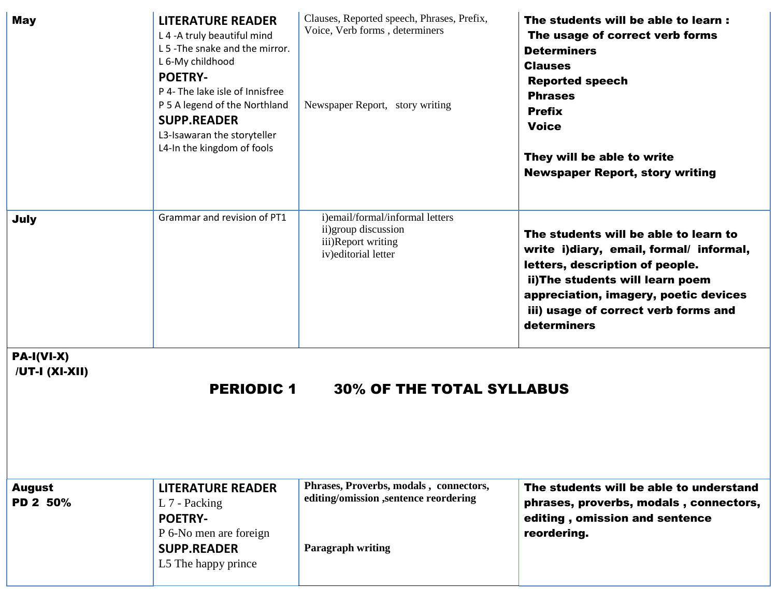| <b>May</b>                                                  | <b>LITERATURE READER</b><br>L 4 - A truly beautiful mind<br>L 5 - The snake and the mirror.<br>L 6-My childhood<br><b>POETRY-</b><br>P 4- The lake isle of Innisfree<br>P 5 A legend of the Northland<br><b>SUPP.READER</b><br>L3-Isawaran the storyteller<br>L4-In the kingdom of fools | Clauses, Reported speech, Phrases, Prefix,<br>Voice, Verb forms, determiners<br>Newspaper Report, story writing                          | The students will be able to learn:<br>The usage of correct verb forms<br><b>Determiners</b><br><b>Clauses</b><br><b>Reported speech</b><br><b>Phrases</b><br><b>Prefix</b><br><b>Voice</b><br>They will be able to write<br><b>Newspaper Report, story writing</b> |
|-------------------------------------------------------------|------------------------------------------------------------------------------------------------------------------------------------------------------------------------------------------------------------------------------------------------------------------------------------------|------------------------------------------------------------------------------------------------------------------------------------------|---------------------------------------------------------------------------------------------------------------------------------------------------------------------------------------------------------------------------------------------------------------------|
| July                                                        | Grammar and revision of PT1                                                                                                                                                                                                                                                              | i)email/formal/informal letters<br>ii) group discussion<br>iii)Report writing<br>iv) editorial letter                                    | The students will be able to learn to<br>write i)diary, email, formal/ informal,<br>letters, description of people.<br>ii) The students will learn poem<br>appreciation, imagery, poetic devices<br>iii) usage of correct verb forms and<br>determiners             |
| $PA-I(VI-X)$<br>/UT-I (XI-XII)<br><b>August</b><br>PD 2 50% | <b>PERIODIC 1</b><br><b>LITERATURE READER</b><br>L 7 - Packing<br><b>POETRY-</b><br>P 6-No men are foreign<br><b>SUPP.READER</b><br>L5 The happy prince                                                                                                                                  | <b>30% OF THE TOTAL SYLLABUS</b><br>Phrases, Proverbs, modals, connectors,<br>editing/omission ,sentence reordering<br>Paragraph writing | The students will be able to understand<br>phrases, proverbs, modals, connectors,<br>editing, omission and sentence<br>reordering.                                                                                                                                  |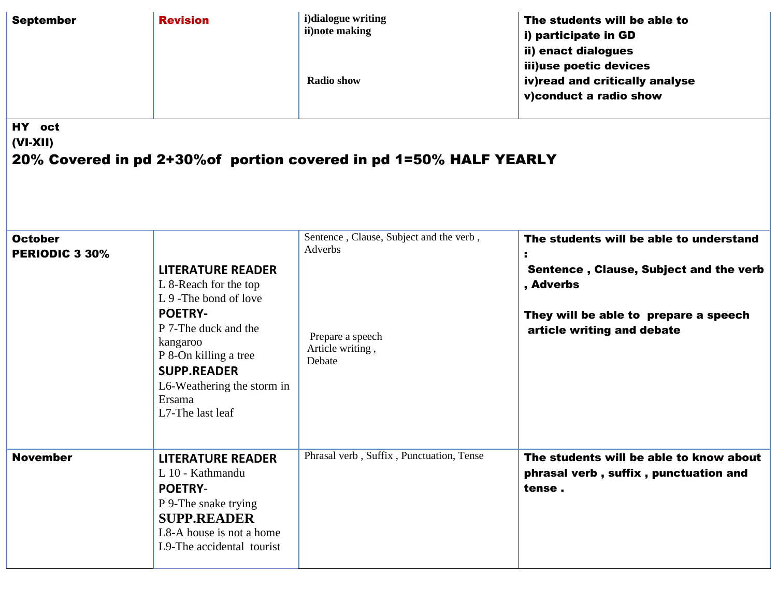| <b>September</b>                        | <b>Revision</b>                                                                                                                                                                                                                              | i)dialogue writing<br>ii)note making<br><b>Radio show</b>                                            | The students will be able to<br>i) participate in GD<br>ii) enact dialogues<br>iii)use poetic devices<br>iv)read and critically analyse<br>v)conduct a radio show     |
|-----------------------------------------|----------------------------------------------------------------------------------------------------------------------------------------------------------------------------------------------------------------------------------------------|------------------------------------------------------------------------------------------------------|-----------------------------------------------------------------------------------------------------------------------------------------------------------------------|
| HY oct<br>$(VI-XII)$                    |                                                                                                                                                                                                                                              | 20% Covered in pd 2+30% of portion covered in pd 1=50% HALF YEARLY                                   |                                                                                                                                                                       |
| <b>October</b><br><b>PERIODIC 3 30%</b> | <b>LITERATURE READER</b><br>L 8-Reach for the top<br>L 9 - The bond of love<br><b>POETRY-</b><br>P 7-The duck and the<br>kangaroo<br>P 8-On killing a tree<br><b>SUPP.READER</b><br>L6-Weathering the storm in<br>Ersama<br>L7-The last leaf | Sentence, Clause, Subject and the verb,<br>Adverbs<br>Prepare a speech<br>Article writing,<br>Debate | The students will be able to understand<br>Sentence, Clause, Subject and the verb<br>, Adverbs<br>They will be able to prepare a speech<br>article writing and debate |
| <b>November</b>                         | <b>LITERATURE READER</b><br>L 10 - Kathmandu<br><b>POETRY-</b><br>P 9-The snake trying<br><b>SUPP.READER</b><br>L8-A house is not a home<br>L9-The accidental tourist                                                                        | Phrasal verb, Suffix, Punctuation, Tense                                                             | The students will be able to know about<br>phrasal verb, suffix, punctuation and<br>tense.                                                                            |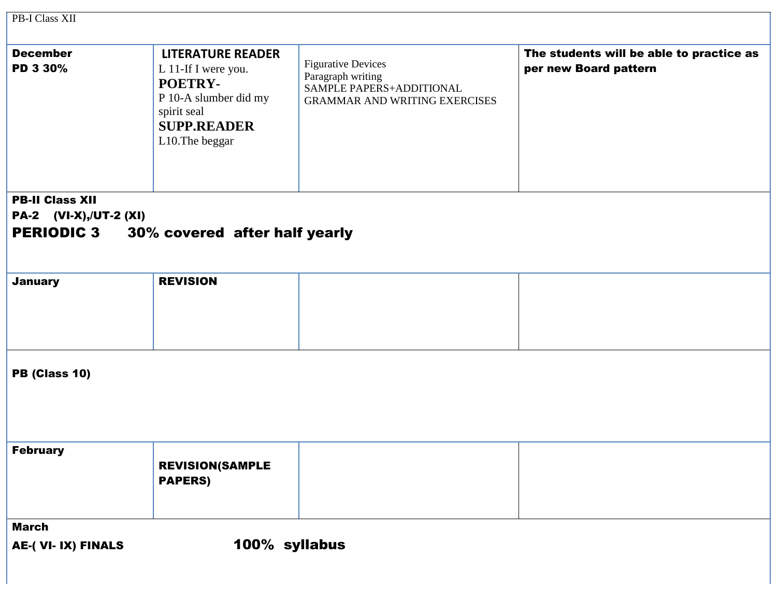| PB-I Class XII                |                                                                                                                                             |                                                                                                                    |                                                                   |
|-------------------------------|---------------------------------------------------------------------------------------------------------------------------------------------|--------------------------------------------------------------------------------------------------------------------|-------------------------------------------------------------------|
| <b>December</b><br>PD 3 30%   | <b>LITERATURE READER</b><br>L 11-If I were you.<br>POETRY-<br>P 10-A slumber did my<br>spirit seal<br><b>SUPP.READER</b><br>L10. The beggar | <b>Figurative Devices</b><br>Paragraph writing<br>SAMPLE PAPERS+ADDITIONAL<br><b>GRAMMAR AND WRITING EXERCISES</b> | The students will be able to practice as<br>per new Board pattern |
| <b>PB-II Class XII</b>        |                                                                                                                                             |                                                                                                                    |                                                                   |
| <b>PA-2</b> (VI-X),/UT-2 (XI) |                                                                                                                                             |                                                                                                                    |                                                                   |
|                               | <b>PERIODIC 3 30% covered after half yearly</b>                                                                                             |                                                                                                                    |                                                                   |
| <b>January</b>                | <b>REVISION</b>                                                                                                                             |                                                                                                                    |                                                                   |
| PB (Class 10)                 |                                                                                                                                             |                                                                                                                    |                                                                   |
| <b>February</b>               | <b>REVISION(SAMPLE</b><br><b>PAPERS)</b>                                                                                                    |                                                                                                                    |                                                                   |
| <b>March</b>                  |                                                                                                                                             |                                                                                                                    |                                                                   |
| AE-(VI-IX) FINALS             | 100% syllabus                                                                                                                               |                                                                                                                    |                                                                   |